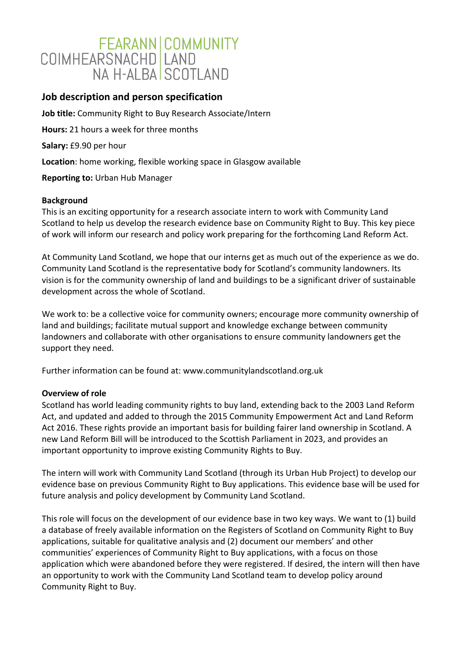# FEARANN COMMUNITY<br>COIMHEARSNACHD LAND NA H-AI BA SCOTI AND

# **Job description and person specification**

**Job title:** Community Right to Buy Research Associate/Intern **Hours:** 21 hours a week for three months **Salary:** £9.90 per hour **Location**: home working, flexible working space in Glasgow available **Reporting to:** Urban Hub Manager

### **Background**

This is an exciting opportunity for a research associate intern to work with Community Land Scotland to help us develop the research evidence base on Community Right to Buy. This key piece of work will inform our research and policy work preparing for the forthcoming Land Reform Act.

At Community Land Scotland, we hope that our interns get as much out of the experience as we do. Community Land Scotland is the representative body for Scotland's community landowners. Its vision is for the community ownership of land and buildings to be a significant driver of sustainable development across the whole of Scotland.

We work to: be a collective voice for community owners; encourage more community ownership of land and buildings; facilitate mutual support and knowledge exchange between community landowners and collaborate with other organisations to ensure community landowners get the support they need.

Further information can be found at: www.communitylandscotland.org.uk

## **Overview of role**

Scotland has world leading community rights to buy land, extending back to the 2003 Land Reform Act, and updated and added to through the 2015 Community Empowerment Act and Land Reform Act 2016. These rights provide an important basis for building fairer land ownership in Scotland. A new Land Reform Bill will be introduced to the Scottish Parliament in 2023, and provides an important opportunity to improve existing Community Rights to Buy.

The intern will work with Community Land Scotland (through its Urban Hub Project) to develop our evidence base on previous Community Right to Buy applications. This evidence base will be used for future analysis and policy development by Community Land Scotland.

This role will focus on the development of our evidence base in two key ways. We want to (1) build a database of freely available information on the Registers of Scotland on Community Right to Buy applications, suitable for qualitative analysis and (2) document our members' and other communities' experiences of Community Right to Buy applications, with a focus on those application which were abandoned before they were registered. If desired, the intern will then have an opportunity to work with the Community Land Scotland team to develop policy around Community Right to Buy.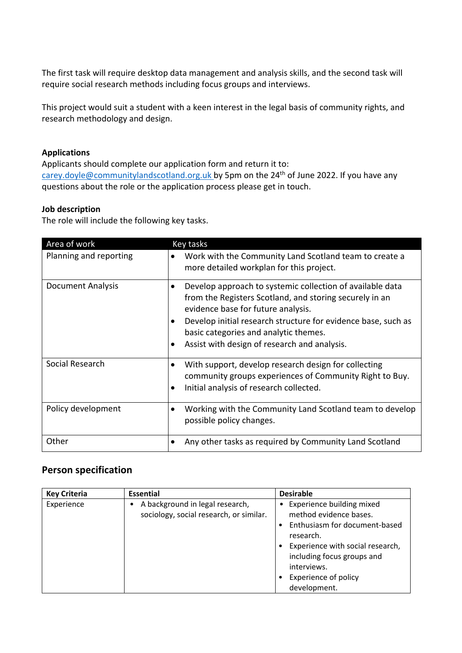The first task will require desktop data management and analysis skills, and the second task will require social research methods including focus groups and interviews.

This project would suit a student with a keen interest in the legal basis of community rights, and research methodology and design.

#### **Applications**

Applicants should complete our application form and return it to: [carey.doyle@communitylandscotland.org.uk](mailto:carey.doyle@communitylandscotland.org.uk) by 5pm on the 24<sup>th</sup> of June 2022. If you have any questions about the role or the application process please get in touch.

### **Job description**

The role will include the following key tasks.

| Area of work             | Key tasks                                                                                                                                                                                                                                                                                                                      |  |  |
|--------------------------|--------------------------------------------------------------------------------------------------------------------------------------------------------------------------------------------------------------------------------------------------------------------------------------------------------------------------------|--|--|
| Planning and reporting   | Work with the Community Land Scotland team to create a<br>more detailed workplan for this project.                                                                                                                                                                                                                             |  |  |
| <b>Document Analysis</b> | Develop approach to systemic collection of available data<br>٠<br>from the Registers Scotland, and storing securely in an<br>evidence base for future analysis.<br>Develop initial research structure for evidence base, such as<br>٠<br>basic categories and analytic themes.<br>Assist with design of research and analysis. |  |  |
| Social Research          | With support, develop research design for collecting<br>٠<br>community groups experiences of Community Right to Buy.<br>Initial analysis of research collected.<br>$\bullet$                                                                                                                                                   |  |  |
| Policy development       | Working with the Community Land Scotland team to develop<br>٠<br>possible policy changes.                                                                                                                                                                                                                                      |  |  |
| Other                    | Any other tasks as required by Community Land Scotland                                                                                                                                                                                                                                                                         |  |  |

# **Person specification**

| <b>Key Criteria</b> | <b>Essential</b>                                                           | <b>Desirable</b>                                                                                                                                                                                                                               |
|---------------------|----------------------------------------------------------------------------|------------------------------------------------------------------------------------------------------------------------------------------------------------------------------------------------------------------------------------------------|
| Experience          | A background in legal research,<br>sociology, social research, or similar. | Experience building mixed<br>$\bullet$<br>method evidence bases.<br>Enthusiasm for document-based<br>research.<br>Experience with social research,<br>including focus groups and<br>interviews.<br><b>Experience of policy</b><br>development. |